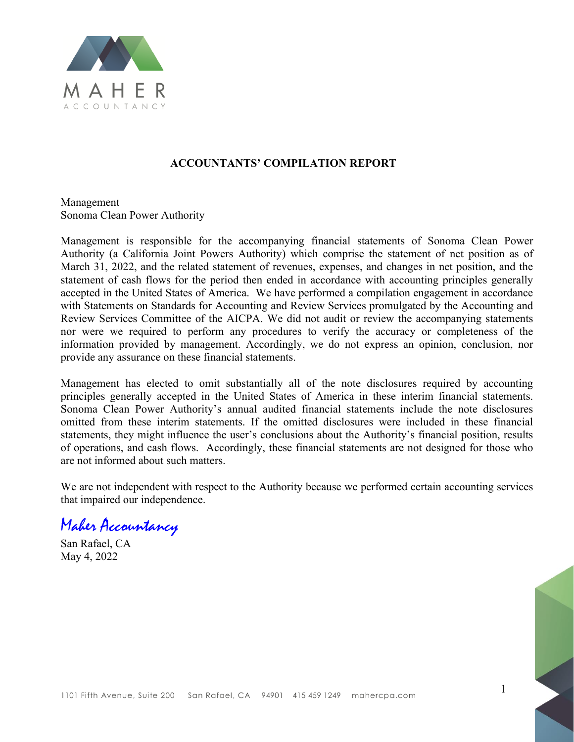

#### **ACCOUNTANTS' COMPILATION REPORT**

Management Sonoma Clean Power Authority

Management is responsible for the accompanying financial statements of Sonoma Clean Power Authority (a California Joint Powers Authority) which comprise the statement of net position as of March 31, 2022, and the related statement of revenues, expenses, and changes in net position, and the statement of cash flows for the period then ended in accordance with accounting principles generally accepted in the United States of America. We have performed a compilation engagement in accordance with Statements on Standards for Accounting and Review Services promulgated by the Accounting and Review Services Committee of the AICPA. We did not audit or review the accompanying statements nor were we required to perform any procedures to verify the accuracy or completeness of the information provided by management. Accordingly, we do not express an opinion, conclusion, nor provide any assurance on these financial statements.

Management has elected to omit substantially all of the note disclosures required by accounting principles generally accepted in the United States of America in these interim financial statements. Sonoma Clean Power Authority's annual audited financial statements include the note disclosures omitted from these interim statements. If the omitted disclosures were included in these financial statements, they might influence the user's conclusions about the Authority's financial position, results of operations, and cash flows. Accordingly, these financial statements are not designed for those who are not informed about such matters.

We are not independent with respect to the Authority because we performed certain accounting services that impaired our independence.

Maher Accountancy

San Rafael, CA May 4, 2022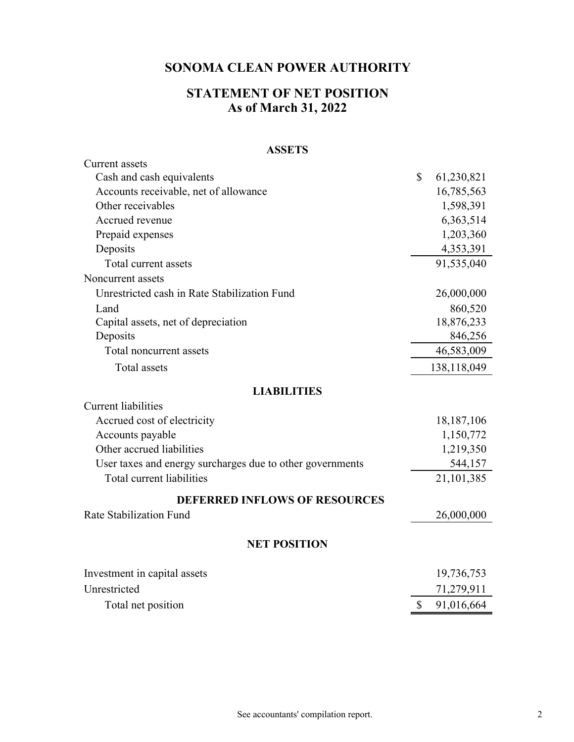## **STATEMENT OF NET POSITION As of March 31, 2022**

#### **ASSETS**

| <b>Current</b> assets                                     |              |              |
|-----------------------------------------------------------|--------------|--------------|
| Cash and cash equivalents                                 | \$           | 61,230,821   |
| Accounts receivable, net of allowance                     |              | 16,785,563   |
| Other receivables                                         |              | 1,598,391    |
| Accrued revenue                                           |              | 6,363,514    |
| Prepaid expenses                                          |              | 1,203,360    |
| Deposits                                                  |              | 4,353,391    |
| Total current assets                                      |              | 91,535,040   |
| Noncurrent assets                                         |              |              |
| Unrestricted cash in Rate Stabilization Fund              |              | 26,000,000   |
| Land                                                      |              | 860,520      |
| Capital assets, net of depreciation                       |              | 18,876,233   |
| Deposits                                                  |              | 846,256      |
| Total noncurrent assets                                   |              | 46,583,009   |
| <b>Total</b> assets                                       |              | 138,118,049  |
| <b>LIABILITIES</b>                                        |              |              |
| <b>Current liabilities</b>                                |              |              |
| Accrued cost of electricity                               |              | 18, 187, 106 |
| Accounts payable                                          |              | 1,150,772    |
| Other accrued liabilities                                 |              | 1,219,350    |
| User taxes and energy surcharges due to other governments |              | 544,157      |
| Total current liabilities                                 |              | 21,101,385   |
| <b>DEFERRED INFLOWS OF RESOURCES</b>                      |              |              |
| Rate Stabilization Fund                                   |              | 26,000,000   |
| <b>NET POSITION</b>                                       |              |              |
| Investment in capital assets                              |              | 19,736,753   |
| Unrestricted                                              |              |              |
|                                                           |              | 71,279,911   |
| Total net position                                        | $\mathbb{S}$ | 91,016,664   |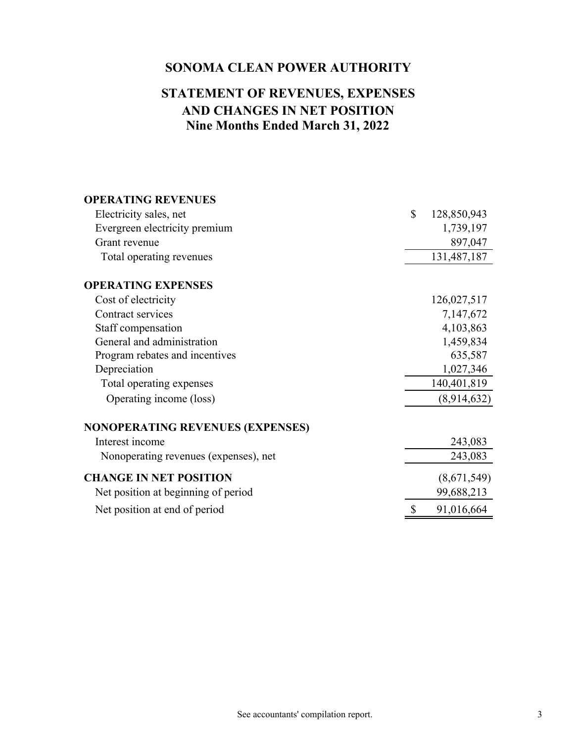# **Nine Months Ended March 31, 2022 AND CHANGES IN NET POSITION STATEMENT OF REVENUES, EXPENSES**

| <b>OPERATING REVENUES</b>               |                   |
|-----------------------------------------|-------------------|
| Electricity sales, net                  | \$<br>128,850,943 |
| Evergreen electricity premium           | 1,739,197         |
| Grant revenue                           | 897,047           |
| Total operating revenues                | 131,487,187       |
| <b>OPERATING EXPENSES</b>               |                   |
| Cost of electricity                     | 126,027,517       |
| Contract services                       | 7,147,672         |
| Staff compensation                      | 4,103,863         |
| General and administration              | 1,459,834         |
| Program rebates and incentives          | 635,587           |
| Depreciation                            | 1,027,346         |
| Total operating expenses                | 140,401,819       |
| Operating income (loss)                 | (8,914,632)       |
| <b>NONOPERATING REVENUES (EXPENSES)</b> |                   |
| Interest income                         | 243,083           |
| Nonoperating revenues (expenses), net   | 243,083           |
| <b>CHANGE IN NET POSITION</b>           | (8,671,549)       |
| Net position at beginning of period     | 99,688,213        |
| Net position at end of period           | 91,016,664        |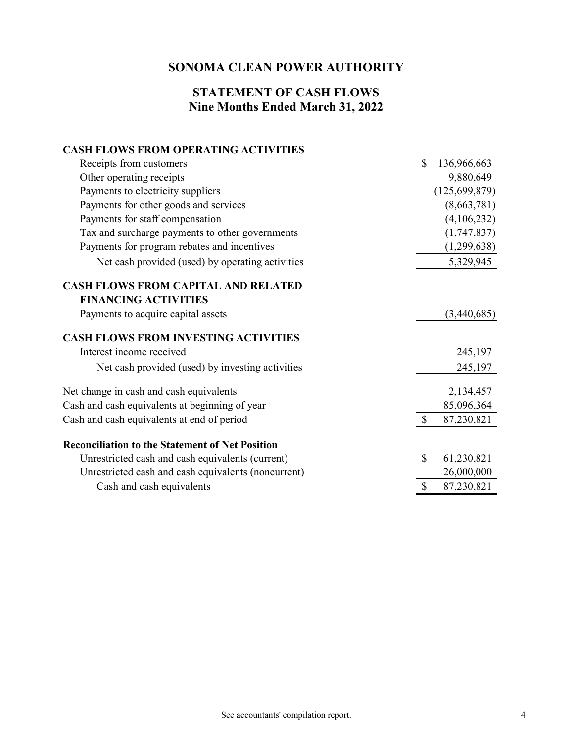### **Nine Months Ended March 31, 2022 STATEMENT OF CASH FLOWS**

#### **CASH FLOWS FROM OPERATING ACTIVITIES**

| Receipts from customers                                | $\mathbb{S}$ | 136,966,663     |
|--------------------------------------------------------|--------------|-----------------|
| Other operating receipts                               |              | 9,880,649       |
| Payments to electricity suppliers                      |              | (125, 699, 879) |
| Payments for other goods and services                  |              | (8,663,781)     |
| Payments for staff compensation                        |              | (4,106,232)     |
| Tax and surcharge payments to other governments        |              | (1,747,837)     |
| Payments for program rebates and incentives            |              | (1,299,638)     |
| Net cash provided (used) by operating activities       |              | 5,329,945       |
| <b>CASH FLOWS FROM CAPITAL AND RELATED</b>             |              |                 |
| <b>FINANCING ACTIVITIES</b>                            |              |                 |
| Payments to acquire capital assets                     |              | (3,440,685)     |
| <b>CASH FLOWS FROM INVESTING ACTIVITIES</b>            |              |                 |
| Interest income received                               |              | 245,197         |
| Net cash provided (used) by investing activities       |              | 245,197         |
| Net change in cash and cash equivalents                |              | 2,134,457       |
| Cash and cash equivalents at beginning of year         |              | 85,096,364      |
| Cash and cash equivalents at end of period             |              | 87,230,821      |
| <b>Reconciliation to the Statement of Net Position</b> |              |                 |
| Unrestricted cash and cash equivalents (current)       | \$           | 61,230,821      |
| Unrestricted cash and cash equivalents (noncurrent)    |              | 26,000,000      |
| Cash and cash equivalents                              | \$           | 87,230,821      |